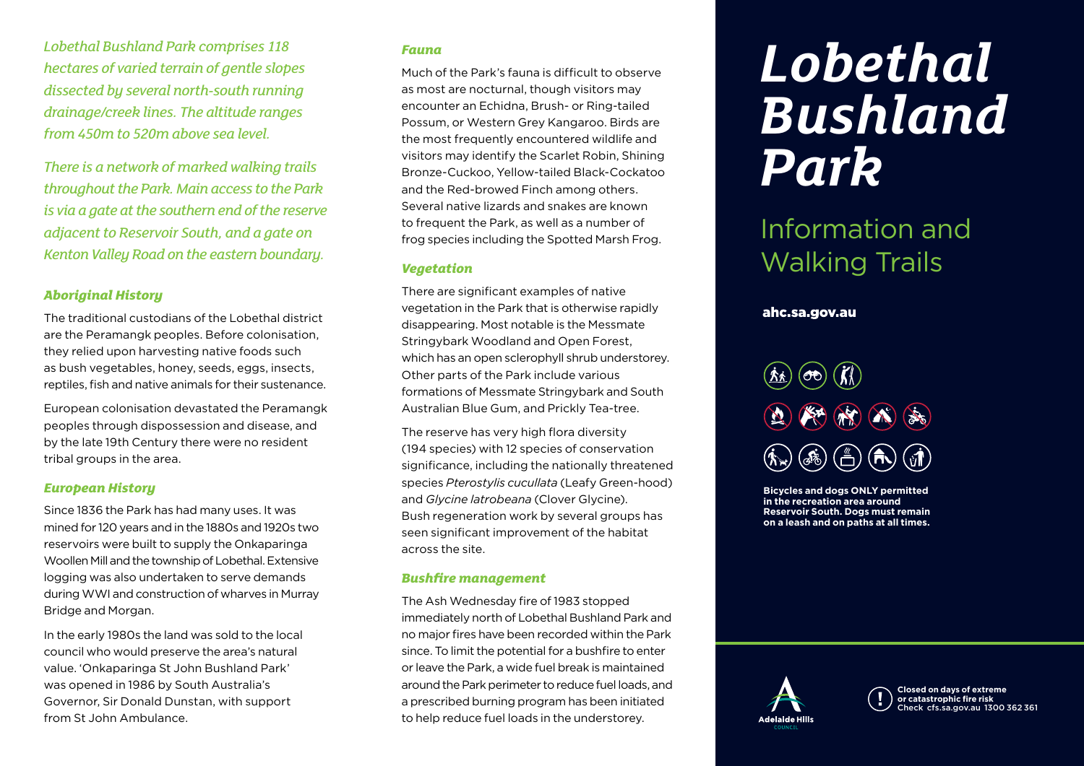*Lobethal Bushland Park comprises 118 hectares of varied terrain of gentle slopes dissected by several north-south running drainage/creek lines. The altitude ranges from 450m to 520m above sea level.*

*There is a network of marked walking trails throughout the Park. Main access to the Park is via a gate at the southern end of the reserve adjacent to Reservoir South, and a gate on Kenton Valley Road on the eastern boundary.* 

# *Aboriginal History*

The traditional custodians of the Lobethal district are the Peramangk peoples. Before colonisation, they relied upon harvesting native foods such as bush vegetables, honey, seeds, eggs, insects, reptiles, fish and native animals for their sustenance.

European colonisation devastated the Peramangk peoples through dispossession and disease, and by the late 19th Century there were no resident tribal groups in the area.

#### *European History*

Since 1836 the Park has had many uses. It was mined for 120 years and in the 1880s and 1920s two reservoirs were built to supply the Onkaparinga Woollen Mill and the township of Lobethal. Extensive logging was also undertaken to serve demands during WWI and construction of wharves in Murray Bridge and Morgan.

In the early 1980s the land was sold to the local council who would preserve the area's natural value. 'Onkaparinga St John Bushland Park' was opened in 1986 by South Australia's Governor, Sir Donald Dunstan, with support from St John Ambulance.

#### *Fauna*

Much of the Park's fauna is difficult to observe as most are nocturnal, though visitors may encounter an Echidna, Brush- or Ring-tailed Possum, or Western Grey Kangaroo. Birds are the most frequently encountered wildlife and visitors may identify the Scarlet Robin, Shining Bronze-Cuckoo, Yellow-tailed Black-Cockatoo and the Red-browed Finch among others. Several native lizards and snakes are known to frequent the Park, as well as a number of frog species including the Spotted Marsh Frog.

## *Vegetation*

There are significant examples of native vegetation in the Park that is otherwise rapidly disappearing. Most notable is the Messmate Stringybark Woodland and Open Forest, which has an open sclerophyll shrub understorey. Other parts of the Park include various formations of Messmate Stringybark and South Australian Blue Gum, and Prickly Tea-tree.

The reserve has very high flora diversity (194 species) with 12 species of conservation significance, including the nationally threatened species *Pterostylis cucullata* (Leafy Green-hood) and *Glycine latrobeana* (Clover Glycine). Bush regeneration work by several groups has seen significant improvement of the habitat across the site.

## *Bushfire management*

The Ash Wednesday fire of 1983 stopped immediately north of Lobethal Bushland Park and no major fires have been recorded within the Park since. To limit the potential for a bushfire to enter or leave the Park, a wide fuel break is maintained around the Park perimeter to reduce fuel loads, and a prescribed burning program has been initiated to help reduce fuel loads in the understorey.

# *Lobethal Bushland Park*

# Information and Walking Trails

# ahc.sa.gov.au

**Bicycles and dogs ONLY permitted in the recreation area around Reservoir South. Dogs must remain on a leash and on paths at all times.**